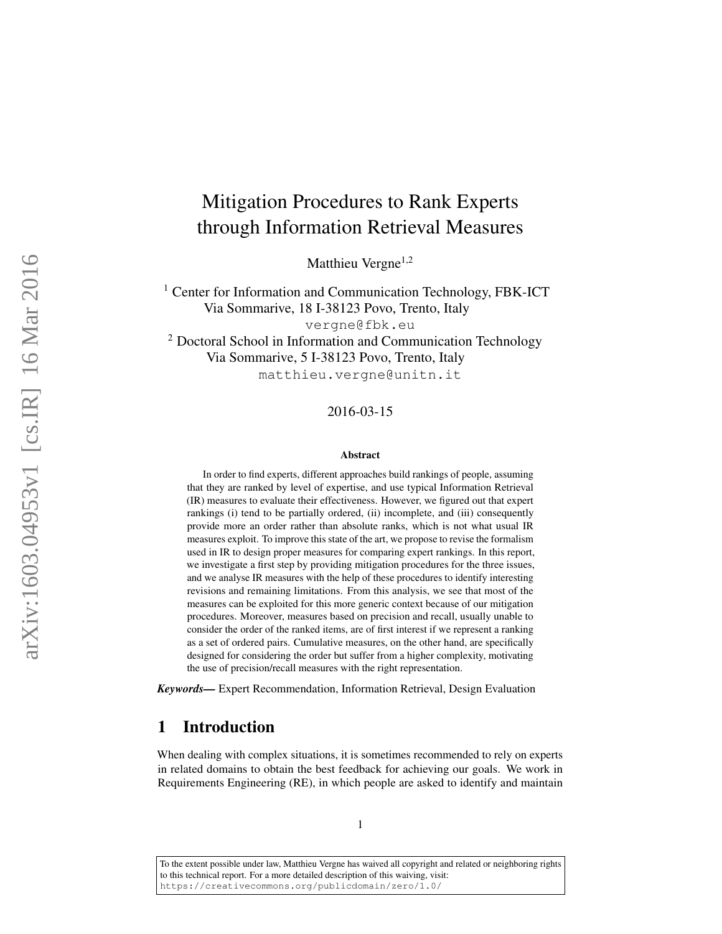# <span id="page-0-0"></span>Mitigation Procedures to Rank Experts through Information Retrieval Measures

Matthieu Vergne<sup>1,2</sup>

<sup>1</sup> Center for Information and Communication Technology, FBK-ICT Via Sommarive, 18 I-38123 Povo, Trento, Italy [vergne@fbk.eu](mailto:vergne@fbk.eu) <sup>2</sup> Doctoral School in Information and Communication Technology Via Sommarive, 5 I-38123 Povo, Trento, Italy [matthieu.vergne@unitn.it](mailto:matthieu.vergne@unitn.it)

### 2016-03-15

#### Abstract

In order to find experts, different approaches build rankings of people, assuming that they are ranked by level of expertise, and use typical Information Retrieval (IR) measures to evaluate their effectiveness. However, we figured out that expert rankings (i) tend to be partially ordered, (ii) incomplete, and (iii) consequently provide more an order rather than absolute ranks, which is not what usual IR measures exploit. To improve this state of the art, we propose to revise the formalism used in IR to design proper measures for comparing expert rankings. In this report, we investigate a first step by providing mitigation procedures for the three issues, and we analyse IR measures with the help of these procedures to identify interesting revisions and remaining limitations. From this analysis, we see that most of the measures can be exploited for this more generic context because of our mitigation procedures. Moreover, measures based on precision and recall, usually unable to consider the order of the ranked items, are of first interest if we represent a ranking as a set of ordered pairs. Cumulative measures, on the other hand, are specifically designed for considering the order but suffer from a higher complexity, motivating the use of precision/recall measures with the right representation.

*Keywords—* Expert Recommendation, Information Retrieval, Design Evaluation

# 1 Introduction

When dealing with complex situations, it is sometimes recommended to rely on experts in related domains to obtain the best feedback for achieving our goals. We work in Requirements Engineering (RE), in which people are asked to identify and maintain

To the extent possible under law, Matthieu Vergne has waived all copyright and related or neighboring rights to this technical report. For a more detailed description of this waiving, visit: <https://creativecommons.org/publicdomain/zero/1.0/>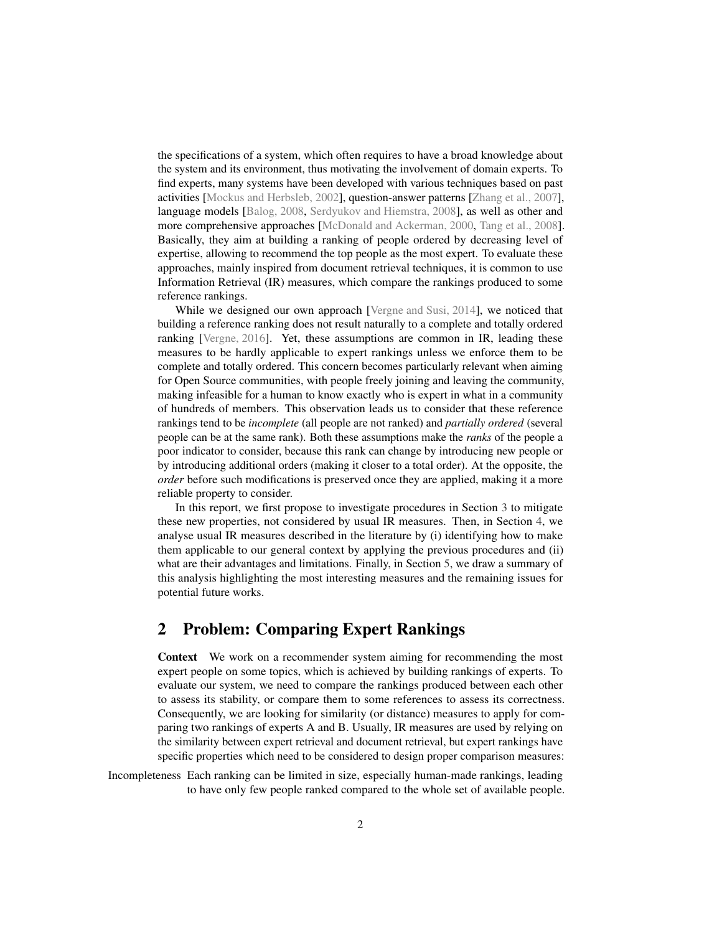the specifications of a system, which often requires to have a broad knowledge about the system and its environment, thus motivating the involvement of domain experts. To find experts, many systems have been developed with various techniques based on past activities [\[Mockus and Herbsleb, 2002\]](#page-14-0), question-answer patterns [\[Zhang et al., 2007\]](#page-15-0), language models [\[Balog, 2008,](#page-13-0) [Serdyukov and Hiemstra, 2008\]](#page-14-1), as well as other and more comprehensive approaches [\[McDonald and Ackerman, 2000,](#page-14-2) [Tang et al., 2008\]](#page-14-3). Basically, they aim at building a ranking of people ordered by decreasing level of expertise, allowing to recommend the top people as the most expert. To evaluate these approaches, mainly inspired from document retrieval techniques, it is common to use Information Retrieval (IR) measures, which compare the rankings produced to some reference rankings.

While we designed our own approach [\[Vergne and Susi, 2014\]](#page-14-4), we noticed that building a reference ranking does not result naturally to a complete and totally ordered ranking [\[Vergne, 2016\]](#page-14-5). Yet, these assumptions are common in IR, leading these measures to be hardly applicable to expert rankings unless we enforce them to be complete and totally ordered. This concern becomes particularly relevant when aiming for Open Source communities, with people freely joining and leaving the community, making infeasible for a human to know exactly who is expert in what in a community of hundreds of members. This observation leads us to consider that these reference rankings tend to be *incomplete* (all people are not ranked) and *partially ordered* (several people can be at the same rank). Both these assumptions make the *ranks* of the people a poor indicator to consider, because this rank can change by introducing new people or by introducing additional orders (making it closer to a total order). At the opposite, the *order* before such modifications is preserved once they are applied, making it a more reliable property to consider.

In this report, we first propose to investigate procedures in Section [3](#page-2-0) to mitigate these new properties, not considered by usual IR measures. Then, in Section [4,](#page-5-0) we analyse usual IR measures described in the literature by (i) identifying how to make them applicable to our general context by applying the previous procedures and (ii) what are their advantages and limitations. Finally, in Section [5,](#page-12-0) we draw a summary of this analysis highlighting the most interesting measures and the remaining issues for potential future works.

# 2 Problem: Comparing Expert Rankings

Context We work on a recommender system aiming for recommending the most expert people on some topics, which is achieved by building rankings of experts. To evaluate our system, we need to compare the rankings produced between each other to assess its stability, or compare them to some references to assess its correctness. Consequently, we are looking for similarity (or distance) measures to apply for comparing two rankings of experts A and B. Usually, IR measures are used by relying on the similarity between expert retrieval and document retrieval, but expert rankings have specific properties which need to be considered to design proper comparison measures:

Incompleteness Each ranking can be limited in size, especially human-made rankings, leading to have only few people ranked compared to the whole set of available people.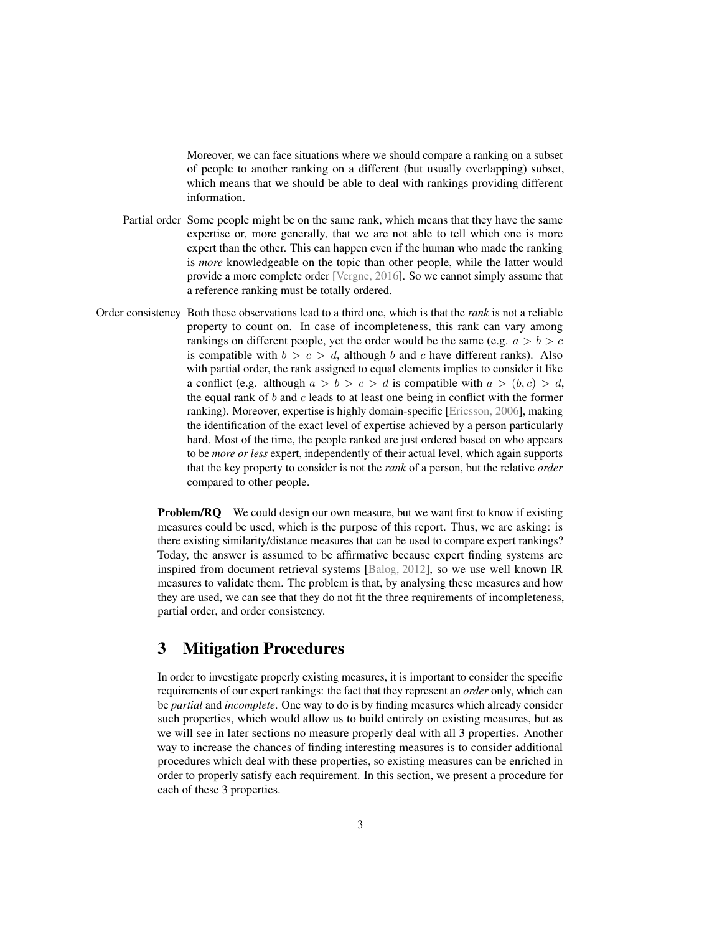Moreover, we can face situations where we should compare a ranking on a subset of people to another ranking on a different (but usually overlapping) subset, which means that we should be able to deal with rankings providing different information.

- Partial order Some people might be on the same rank, which means that they have the same expertise or, more generally, that we are not able to tell which one is more expert than the other. This can happen even if the human who made the ranking is *more* knowledgeable on the topic than other people, while the latter would provide a more complete order [\[Vergne, 2016\]](#page-14-5). So we cannot simply assume that a reference ranking must be totally ordered.
- Order consistency Both these observations lead to a third one, which is that the *rank* is not a reliable property to count on. In case of incompleteness, this rank can vary among rankings on different people, yet the order would be the same (e.g.  $a > b > c$ is compatible with  $b > c > d$ , although b and c have different ranks). Also with partial order, the rank assigned to equal elements implies to consider it like a conflict (e.g. although  $a > b > c > d$  is compatible with  $a > (b, c) > d$ , the equal rank of  $b$  and  $c$  leads to at least one being in conflict with the former ranking). Moreover, expertise is highly domain-specific [\[Ericsson, 2006\]](#page-13-1), making the identification of the exact level of expertise achieved by a person particularly hard. Most of the time, the people ranked are just ordered based on who appears to be *more or less* expert, independently of their actual level, which again supports that the key property to consider is not the *rank* of a person, but the relative *order* compared to other people.

Problem/RQ We could design our own measure, but we want first to know if existing measures could be used, which is the purpose of this report. Thus, we are asking: is there existing similarity/distance measures that can be used to compare expert rankings? Today, the answer is assumed to be affirmative because expert finding systems are inspired from document retrieval systems [\[Balog, 2012\]](#page-13-2), so we use well known IR measures to validate them. The problem is that, by analysing these measures and how they are used, we can see that they do not fit the three requirements of incompleteness, partial order, and order consistency.

# <span id="page-2-0"></span>3 Mitigation Procedures

In order to investigate properly existing measures, it is important to consider the specific requirements of our expert rankings: the fact that they represent an *order* only, which can be *partial* and *incomplete*. One way to do is by finding measures which already consider such properties, which would allow us to build entirely on existing measures, but as we will see in later sections no measure properly deal with all 3 properties. Another way to increase the chances of finding interesting measures is to consider additional procedures which deal with these properties, so existing measures can be enriched in order to properly satisfy each requirement. In this section, we present a procedure for each of these 3 properties.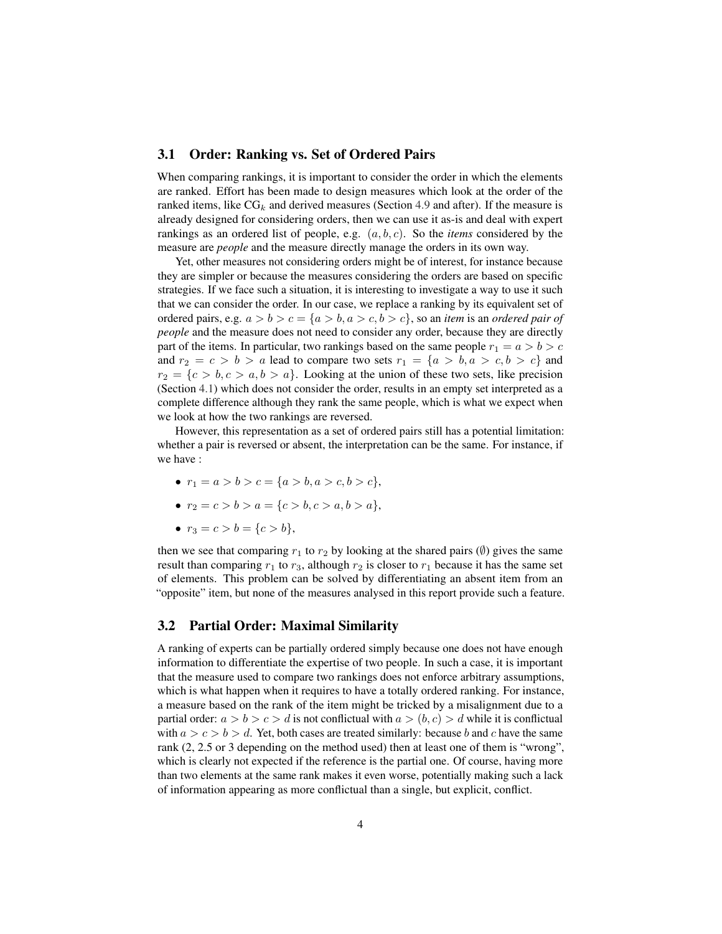### <span id="page-3-0"></span>3.1 Order: Ranking vs. Set of Ordered Pairs

When comparing rankings, it is important to consider the order in which the elements are ranked. Effort has been made to design measures which look at the order of the ranked items, like  $CG_k$  and derived measures (Section [4.9](#page-10-0) and after). If the measure is already designed for considering orders, then we can use it as-is and deal with expert rankings as an ordered list of people, e.g. (a, b, c). So the *items* considered by the measure are *people* and the measure directly manage the orders in its own way.

Yet, other measures not considering orders might be of interest, for instance because they are simpler or because the measures considering the orders are based on specific strategies. If we face such a situation, it is interesting to investigate a way to use it such that we can consider the order. In our case, we replace a ranking by its equivalent set of ordered pairs, e.g.  $a > b > c = \{a > b, a > c, b > c\}$ , so an *item* is an *ordered pair of people* and the measure does not need to consider any order, because they are directly part of the items. In particular, two rankings based on the same people  $r_1 = a > b > c$ and  $r_2 = c > b > a$  lead to compare two sets  $r_1 = \{a > b, a > c, b > c\}$  and  $r_2 = \{c > b, c > a, b > a\}.$  Looking at the union of these two sets, like precision (Section [4.1\)](#page-6-0) which does not consider the order, results in an empty set interpreted as a complete difference although they rank the same people, which is what we expect when we look at how the two rankings are reversed.

However, this representation as a set of ordered pairs still has a potential limitation: whether a pair is reversed or absent, the interpretation can be the same. For instance, if we have :

- $r_1 = a > b > c = \{a > b, a > c, b > c\},\$
- $r_2 = c > b > a = \{c > b, c > a, b > a\},\$
- $r_3 = c > b = \{c > b\},\;$

then we see that comparing  $r_1$  to  $r_2$  by looking at the shared pairs ( $\emptyset$ ) gives the same result than comparing  $r_1$  to  $r_3$ , although  $r_2$  is closer to  $r_1$  because it has the same set of elements. This problem can be solved by differentiating an absent item from an "opposite" item, but none of the measures analysed in this report provide such a feature.

## <span id="page-3-1"></span>3.2 Partial Order: Maximal Similarity

A ranking of experts can be partially ordered simply because one does not have enough information to differentiate the expertise of two people. In such a case, it is important that the measure used to compare two rankings does not enforce arbitrary assumptions, which is what happen when it requires to have a totally ordered ranking. For instance, a measure based on the rank of the item might be tricked by a misalignment due to a partial order:  $a > b > c > d$  is not conflictual with  $a > (b, c) > d$  while it is conflictual with  $a > c > b > d$ . Yet, both cases are treated similarly: because b and c have the same rank (2, 2.5 or 3 depending on the method used) then at least one of them is "wrong", which is clearly not expected if the reference is the partial one. Of course, having more than two elements at the same rank makes it even worse, potentially making such a lack of information appearing as more conflictual than a single, but explicit, conflict.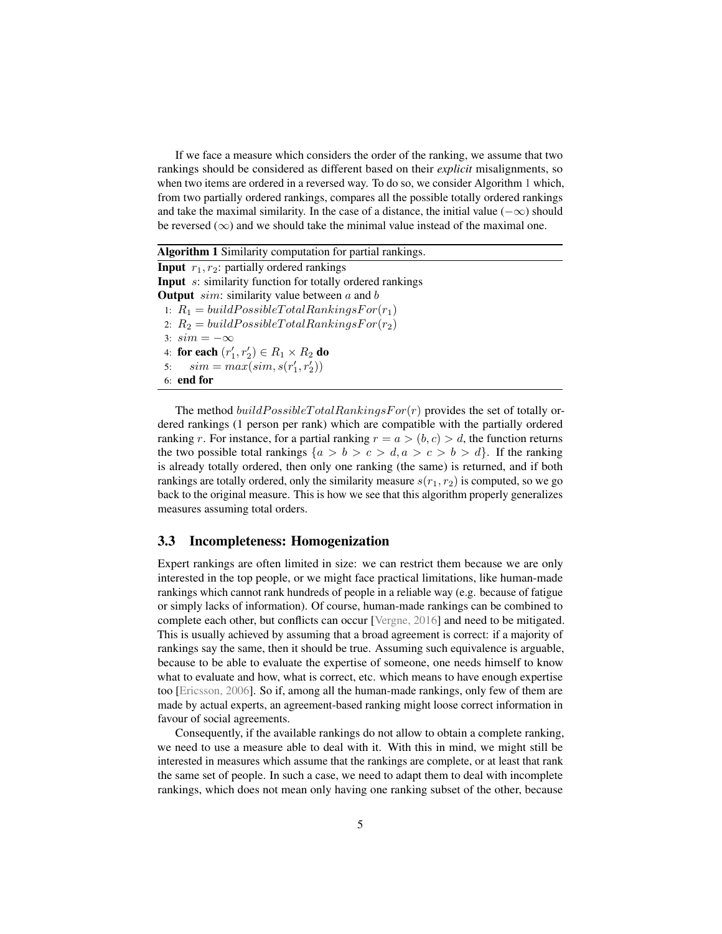If we face a measure which considers the order of the ranking, we assume that two rankings should be considered as different based on their *explicit* misalignments, so when two items are ordered in a reversed way. To do so, we consider Algorithm [1](#page-0-0) which, from two partially ordered rankings, compares all the possible totally ordered rankings and take the maximal similarity. In the case of a distance, the initial value ( $-\infty$ ) should be reversed ( $\infty$ ) and we should take the minimal value instead of the maximal one.

Algorithm 1 Similarity computation for partial rankings. **Input**  $r_1, r_2$ : partially ordered rankings Input s: similarity function for totally ordered rankings **Output** sim: similarity value between  $a$  and  $b$ 1:  $R_1 = build PossibleTotalRankingsFor(r_1)$ 2:  $R_2 = build PossibleTotalRankingsFor(r_2)$ 3:  $sim = -\infty$ 4: for each  $(r'_1, r'_2) \in R_1 \times R_2$  do 5:  $sim = max(sin, s(r'_1, r'_2))$ 6: end for

The method  $buildPossibleTotalRankingsFor(r)$  provides the set of totally ordered rankings (1 person per rank) which are compatible with the partially ordered ranking r. For instance, for a partial ranking  $r = a > (b, c) > d$ , the function returns the two possible total rankings  $\{a > b > c > d, a > c > b > d\}$ . If the ranking is already totally ordered, then only one ranking (the same) is returned, and if both rankings are totally ordered, only the similarity measure  $s(r_1, r_2)$  is computed, so we go back to the original measure. This is how we see that this algorithm properly generalizes measures assuming total orders.

## <span id="page-4-0"></span>3.3 Incompleteness: Homogenization

Expert rankings are often limited in size: we can restrict them because we are only interested in the top people, or we might face practical limitations, like human-made rankings which cannot rank hundreds of people in a reliable way (e.g. because of fatigue or simply lacks of information). Of course, human-made rankings can be combined to complete each other, but conflicts can occur [\[Vergne, 2016\]](#page-14-5) and need to be mitigated. This is usually achieved by assuming that a broad agreement is correct: if a majority of rankings say the same, then it should be true. Assuming such equivalence is arguable, because to be able to evaluate the expertise of someone, one needs himself to know what to evaluate and how, what is correct, etc. which means to have enough expertise too [\[Ericsson, 2006\]](#page-13-1). So if, among all the human-made rankings, only few of them are made by actual experts, an agreement-based ranking might loose correct information in favour of social agreements.

Consequently, if the available rankings do not allow to obtain a complete ranking, we need to use a measure able to deal with it. With this in mind, we might still be interested in measures which assume that the rankings are complete, or at least that rank the same set of people. In such a case, we need to adapt them to deal with incomplete rankings, which does not mean only having one ranking subset of the other, because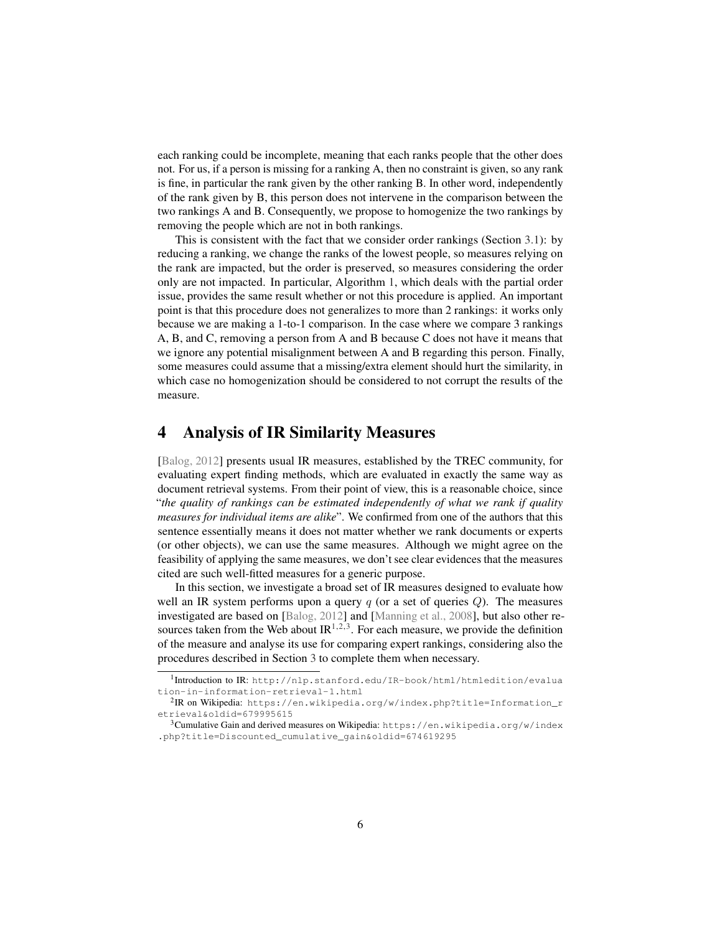each ranking could be incomplete, meaning that each ranks people that the other does not. For us, if a person is missing for a ranking A, then no constraint is given, so any rank is fine, in particular the rank given by the other ranking B. In other word, independently of the rank given by B, this person does not intervene in the comparison between the two rankings A and B. Consequently, we propose to homogenize the two rankings by removing the people which are not in both rankings.

This is consistent with the fact that we consider order rankings (Section [3.1\)](#page-3-0): by reducing a ranking, we change the ranks of the lowest people, so measures relying on the rank are impacted, but the order is preserved, so measures considering the order only are not impacted. In particular, Algorithm [1,](#page-0-0) which deals with the partial order issue, provides the same result whether or not this procedure is applied. An important point is that this procedure does not generalizes to more than 2 rankings: it works only because we are making a 1-to-1 comparison. In the case where we compare 3 rankings A, B, and C, removing a person from A and B because C does not have it means that we ignore any potential misalignment between A and B regarding this person. Finally, some measures could assume that a missing/extra element should hurt the similarity, in which case no homogenization should be considered to not corrupt the results of the measure.

# <span id="page-5-0"></span>4 Analysis of IR Similarity Measures

[\[Balog, 2012\]](#page-13-2) presents usual IR measures, established by the TREC community, for evaluating expert finding methods, which are evaluated in exactly the same way as document retrieval systems. From their point of view, this is a reasonable choice, since "*the quality of rankings can be estimated independently of what we rank if quality measures for individual items are alike*". We confirmed from one of the authors that this sentence essentially means it does not matter whether we rank documents or experts (or other objects), we can use the same measures. Although we might agree on the feasibility of applying the same measures, we don't see clear evidences that the measures cited are such well-fitted measures for a generic purpose.

In this section, we investigate a broad set of IR measures designed to evaluate how well an IR system performs upon a query  $q$  (or a set of queries  $Q$ ). The measures investigated are based on [\[Balog, 2012\]](#page-13-2) and [\[Manning et al., 2008\]](#page-14-6), but also other resources taken from the Web about  $IR^{1,2,3}$  $IR^{1,2,3}$  $IR^{1,2,3}$  $IR^{1,2,3}$  $IR^{1,2,3}$ . For each measure, we provide the definition of the measure and analyse its use for comparing expert rankings, considering also the procedures described in Section [3](#page-2-0) to complete them when necessary.

<span id="page-5-1"></span><sup>1</sup> Introduction to IR: [http://nlp.stanford.edu/IR-book/html/htmledition/evalua](http://nlp.stanford.edu/IR-book/html/htmledition/evaluation-in-information-retrieval-1.html) [tion-in-information-retrieval-1.html](http://nlp.stanford.edu/IR-book/html/htmledition/evaluation-in-information-retrieval-1.html)

<span id="page-5-2"></span> $^2$ IR on Wikipedia: [https://en.wikipedia.org/w/index.php?title=Information\\_r](https://en.wikipedia.org/w/index.php?title=Information_retrieval&oldid=679995615) [etrieval&oldid=679995615](https://en.wikipedia.org/w/index.php?title=Information_retrieval&oldid=679995615)

<span id="page-5-3"></span><sup>&</sup>lt;sup>3</sup>Cumulative Gain and derived measures on Wikipedia: [https://en.wikipedia.org/w/index](https://en.wikipedia.org/w/index.php?title=Discounted_cumulative_gain&oldid=674619295) [.php?title=Discounted\\_cumulative\\_gain&oldid=674619295](https://en.wikipedia.org/w/index.php?title=Discounted_cumulative_gain&oldid=674619295)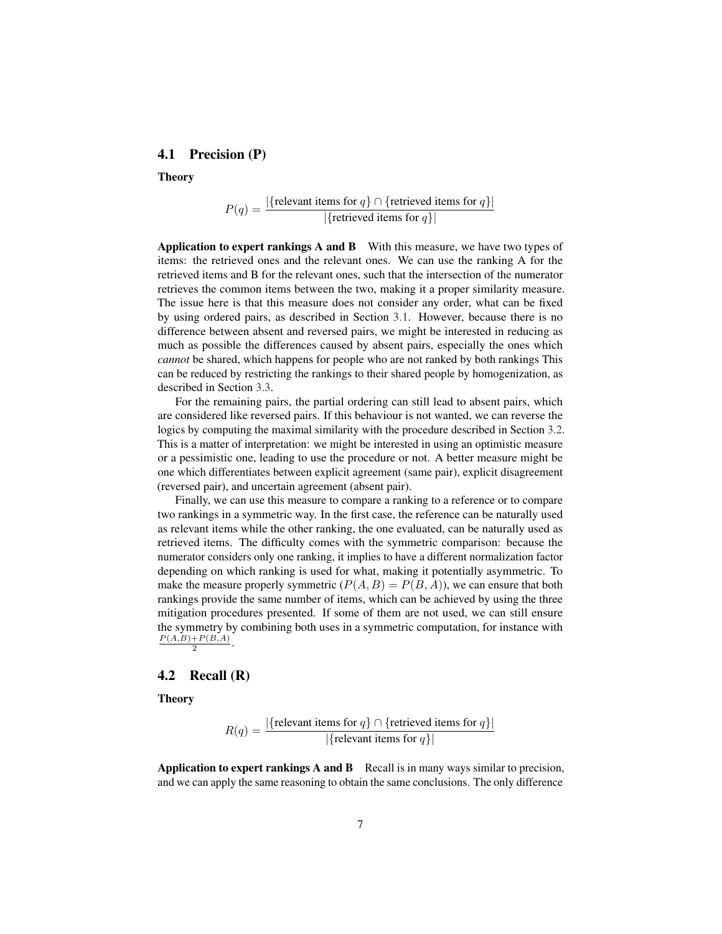### <span id="page-6-0"></span>4.1 Precision (P)

Theory

$$
P(q) = \frac{|\{\text{relevant items for } q\} \cap \{\text{retrieved items for } q\}|}{|\{\text{retrieved items for } q\}|}
$$

Application to expert rankings A and B With this measure, we have two types of items: the retrieved ones and the relevant ones. We can use the ranking A for the retrieved items and B for the relevant ones, such that the intersection of the numerator retrieves the common items between the two, making it a proper similarity measure. The issue here is that this measure does not consider any order, what can be fixed by using ordered pairs, as described in Section [3.1.](#page-3-0) However, because there is no difference between absent and reversed pairs, we might be interested in reducing as much as possible the differences caused by absent pairs, especially the ones which *cannot* be shared, which happens for people who are not ranked by both rankings This can be reduced by restricting the rankings to their shared people by homogenization, as described in Section [3.3.](#page-4-0)

For the remaining pairs, the partial ordering can still lead to absent pairs, which are considered like reversed pairs. If this behaviour is not wanted, we can reverse the logics by computing the maximal similarity with the procedure described in Section [3.2.](#page-3-1) This is a matter of interpretation: we might be interested in using an optimistic measure or a pessimistic one, leading to use the procedure or not. A better measure might be one which differentiates between explicit agreement (same pair), explicit disagreement (reversed pair), and uncertain agreement (absent pair).

Finally, we can use this measure to compare a ranking to a reference or to compare two rankings in a symmetric way. In the first case, the reference can be naturally used as relevant items while the other ranking, the one evaluated, can be naturally used as retrieved items. The difficulty comes with the symmetric comparison: because the numerator considers only one ranking, it implies to have a different normalization factor depending on which ranking is used for what, making it potentially asymmetric. To make the measure properly symmetric  $(P(A, B) = P(B, A))$ , we can ensure that both rankings provide the same number of items, which can be achieved by using the three mitigation procedures presented. If some of them are not used, we can still ensure the symmetry by combining both uses in a symmetric computation, for instance with  $P(A,B)+P(B,A)$  $\frac{+P(B,A)}{2}$ .

#### <span id="page-6-1"></span>4.2 Recall  $(R)$

**Theory** 

$$
R(q) = \frac{|\{\text{relevant items for } q\} \cap \{\text{retrieved items for } q\}|}{|\{\text{relevant items for } q\}|}
$$

**Application to expert rankings A and B** Recall is in many ways similar to precision, and we can apply the same reasoning to obtain the same conclusions. The only difference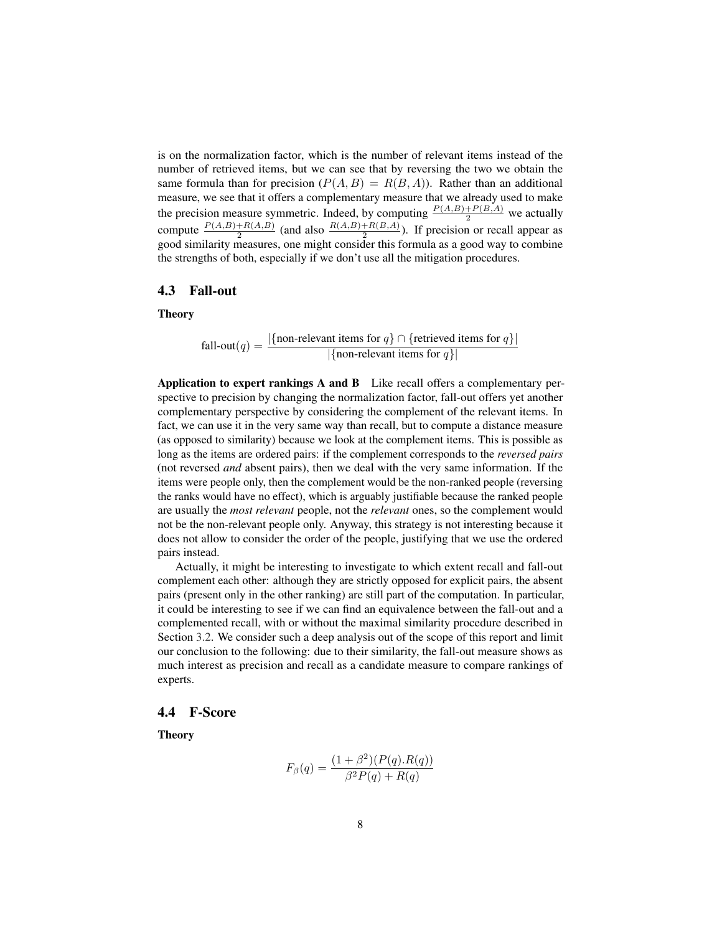is on the normalization factor, which is the number of relevant items instead of the number of retrieved items, but we can see that by reversing the two we obtain the same formula than for precision  $(P(A, B) = R(B, A))$ . Rather than an additional measure, we see that it offers a complementary measure that we already used to make the precision measure symmetric. Indeed, by computing  $\frac{P(A,B)+P(B,A)}{2}$  we actually compute  $\frac{P(A,B)+R(A,B)}{2}$  (and also  $\frac{R(A,B)+R(B,A)}{2}$ ). If precision or recall appear as good similarity measures, one might consider this formula as a good way to combine the strengths of both, especially if we don't use all the mitigation procedures.

# <span id="page-7-0"></span>4.3 Fall-out

**Theory** 

fall-out(*q*) = 
$$
\frac{|\{\text{non-relevant items for } q\} \cap \{\text{retrieved items for } q\}|}{|\{\text{non-relevant items for } q\}|}
$$

Application to expert rankings A and B Like recall offers a complementary perspective to precision by changing the normalization factor, fall-out offers yet another complementary perspective by considering the complement of the relevant items. In fact, we can use it in the very same way than recall, but to compute a distance measure (as opposed to similarity) because we look at the complement items. This is possible as long as the items are ordered pairs: if the complement corresponds to the *reversed pairs* (not reversed *and* absent pairs), then we deal with the very same information. If the items were people only, then the complement would be the non-ranked people (reversing the ranks would have no effect), which is arguably justifiable because the ranked people are usually the *most relevant* people, not the *relevant* ones, so the complement would not be the non-relevant people only. Anyway, this strategy is not interesting because it does not allow to consider the order of the people, justifying that we use the ordered pairs instead.

Actually, it might be interesting to investigate to which extent recall and fall-out complement each other: although they are strictly opposed for explicit pairs, the absent pairs (present only in the other ranking) are still part of the computation. In particular, it could be interesting to see if we can find an equivalence between the fall-out and a complemented recall, with or without the maximal similarity procedure described in Section [3.2.](#page-3-1) We consider such a deep analysis out of the scope of this report and limit our conclusion to the following: due to their similarity, the fall-out measure shows as much interest as precision and recall as a candidate measure to compare rankings of experts.

#### <span id="page-7-1"></span>4.4 F-Score

Theory

$$
F_{\beta}(q) = \frac{(1+\beta^{2})(P(q).R(q))}{\beta^{2}P(q) + R(q)}
$$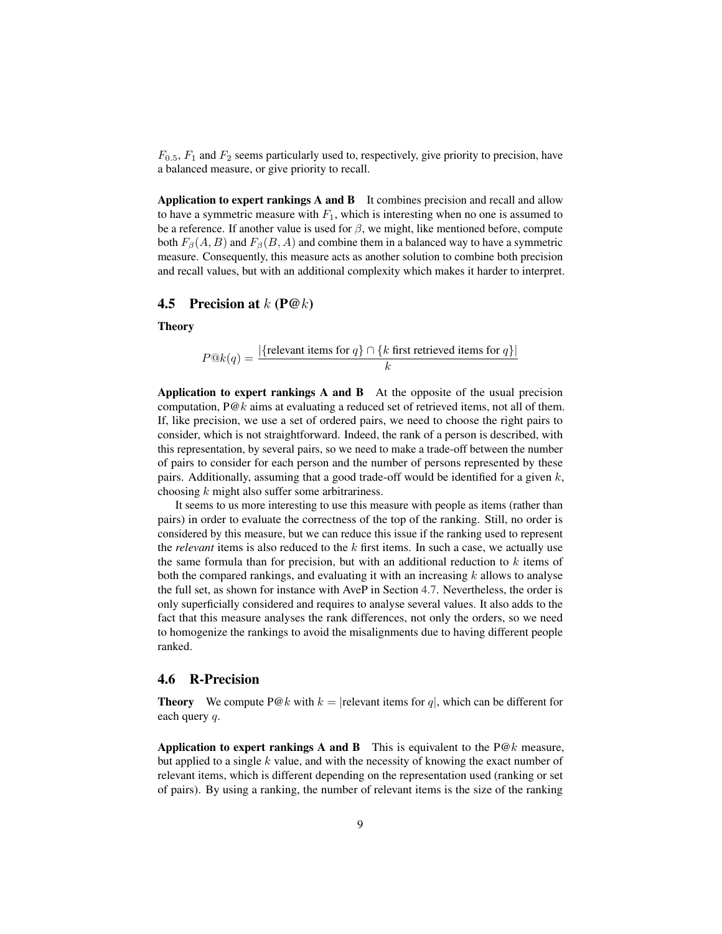$F_{0.5}$ ,  $F_1$  and  $F_2$  seems particularly used to, respectively, give priority to precision, have a balanced measure, or give priority to recall.

Application to expert rankings A and B It combines precision and recall and allow to have a symmetric measure with  $F_1$ , which is interesting when no one is assumed to be a reference. If another value is used for  $\beta$ , we might, like mentioned before, compute both  $F_\beta(A, B)$  and  $F_\beta(B, A)$  and combine them in a balanced way to have a symmetric measure. Consequently, this measure acts as another solution to combine both precision and recall values, but with an additional complexity which makes it harder to interpret.

## <span id="page-8-0"></span>4.5 Precision at  $k$  (P@ $k$ )

**Theory** 

$$
P@k(q) = \frac{|\{\text{relevant items for } q\} \cap \{k \text{ first retrieved items for } q\}|}{k}
$$

Application to expert rankings A and B At the opposite of the usual precision computation,  $P@k$  aims at evaluating a reduced set of retrieved items, not all of them. If, like precision, we use a set of ordered pairs, we need to choose the right pairs to consider, which is not straightforward. Indeed, the rank of a person is described, with this representation, by several pairs, so we need to make a trade-off between the number of pairs to consider for each person and the number of persons represented by these pairs. Additionally, assuming that a good trade-off would be identified for a given  $k$ , choosing  $k$  might also suffer some arbitrariness.

It seems to us more interesting to use this measure with people as items (rather than pairs) in order to evaluate the correctness of the top of the ranking. Still, no order is considered by this measure, but we can reduce this issue if the ranking used to represent the *relevant* items is also reduced to the k first items. In such a case, we actually use the same formula than for precision, but with an additional reduction to  $k$  items of both the compared rankings, and evaluating it with an increasing  $k$  allows to analyse the full set, as shown for instance with AveP in Section [4.7.](#page-9-0) Nevertheless, the order is only superficially considered and requires to analyse several values. It also adds to the fact that this measure analyses the rank differences, not only the orders, so we need to homogenize the rankings to avoid the misalignments due to having different people ranked.

#### <span id="page-8-1"></span>4.6 R-Precision

**Theory** We compute P@k with  $k =$  |relevant items for q|, which can be different for each query q.

Application to expert rankings A and B This is equivalent to the  $P@k$  measure, but applied to a single  $k$  value, and with the necessity of knowing the exact number of relevant items, which is different depending on the representation used (ranking or set of pairs). By using a ranking, the number of relevant items is the size of the ranking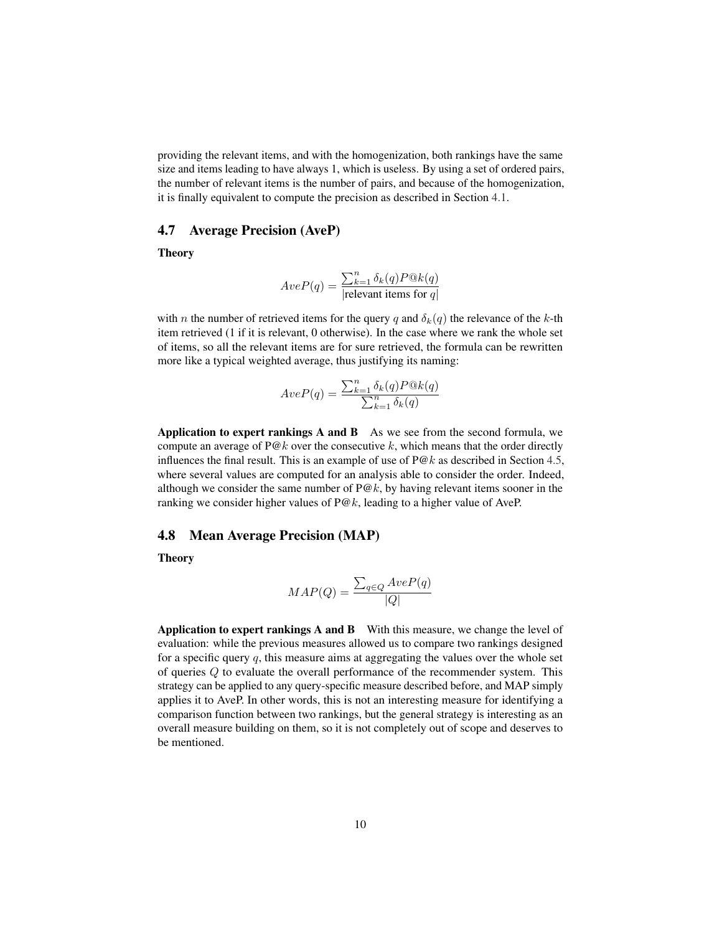providing the relevant items, and with the homogenization, both rankings have the same size and items leading to have always 1, which is useless. By using a set of ordered pairs, the number of relevant items is the number of pairs, and because of the homogenization, it is finally equivalent to compute the precision as described in Section [4.1.](#page-6-0)

### <span id="page-9-0"></span>4.7 Average Precision (AveP)

**Theory** 

$$
AveP(q) = \frac{\sum_{k=1}^{n} \delta_k(q) P@k(q)}{|\text{relevant items for } q|}
$$

with *n* the number of retrieved items for the query q and  $\delta_k(q)$  the relevance of the k-th item retrieved (1 if it is relevant, 0 otherwise). In the case where we rank the whole set of items, so all the relevant items are for sure retrieved, the formula can be rewritten more like a typical weighted average, thus justifying its naming:

$$
AveP(q) = \frac{\sum_{k=1}^{n} \delta_k(q) P@k(q)}{\sum_{k=1}^{n} \delta_k(q)}
$$

Application to expert rankings  $A$  and  $B$  As we see from the second formula, we compute an average of  $P@k$  over the consecutive k, which means that the order directly influences the final result. This is an example of use of  $P@k$  as described in Section [4.5,](#page-8-0) where several values are computed for an analysis able to consider the order. Indeed, although we consider the same number of  $P@k$ , by having relevant items sooner in the ranking we consider higher values of  $P@k$ , leading to a higher value of AveP.

#### <span id="page-9-1"></span>4.8 Mean Average Precision (MAP)

Theory

$$
MAP(Q) = \frac{\sum_{q \in Q} AveP(q)}{|Q|}
$$

Application to expert rankings A and B With this measure, we change the level of evaluation: while the previous measures allowed us to compare two rankings designed for a specific query  $q$ , this measure aims at aggregating the values over the whole set of queries Q to evaluate the overall performance of the recommender system. This strategy can be applied to any query-specific measure described before, and MAP simply applies it to AveP. In other words, this is not an interesting measure for identifying a comparison function between two rankings, but the general strategy is interesting as an overall measure building on them, so it is not completely out of scope and deserves to be mentioned.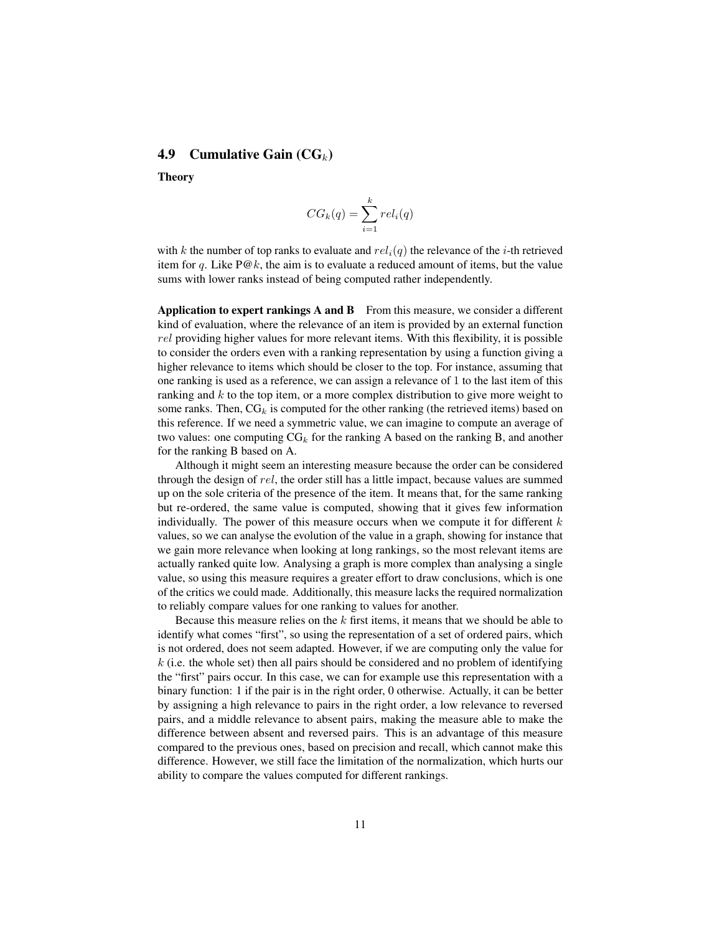# <span id="page-10-0"></span>4.9 Cumulative Gain  $(CG_k)$

Theory

$$
CG_k(q) = \sum_{i=1}^{k} rel_i(q)
$$

with k the number of top ranks to evaluate and  $rel_i(q)$  the relevance of the *i*-th retrieved item for q. Like  $P@k$ , the aim is to evaluate a reduced amount of items, but the value sums with lower ranks instead of being computed rather independently.

Application to expert rankings  $A$  and  $B$  From this measure, we consider a different kind of evaluation, where the relevance of an item is provided by an external function rel providing higher values for more relevant items. With this flexibility, it is possible to consider the orders even with a ranking representation by using a function giving a higher relevance to items which should be closer to the top. For instance, assuming that one ranking is used as a reference, we can assign a relevance of 1 to the last item of this ranking and  $k$  to the top item, or a more complex distribution to give more weight to some ranks. Then,  $CG_k$  is computed for the other ranking (the retrieved items) based on this reference. If we need a symmetric value, we can imagine to compute an average of two values: one computing  $CG_k$  for the ranking A based on the ranking B, and another for the ranking B based on A.

Although it might seem an interesting measure because the order can be considered through the design of rel, the order still has a little impact, because values are summed up on the sole criteria of the presence of the item. It means that, for the same ranking but re-ordered, the same value is computed, showing that it gives few information individually. The power of this measure occurs when we compute it for different  $k$ values, so we can analyse the evolution of the value in a graph, showing for instance that we gain more relevance when looking at long rankings, so the most relevant items are actually ranked quite low. Analysing a graph is more complex than analysing a single value, so using this measure requires a greater effort to draw conclusions, which is one of the critics we could made. Additionally, this measure lacks the required normalization to reliably compare values for one ranking to values for another.

Because this measure relies on the  $k$  first items, it means that we should be able to identify what comes "first", so using the representation of a set of ordered pairs, which is not ordered, does not seem adapted. However, if we are computing only the value for  $k$  (i.e. the whole set) then all pairs should be considered and no problem of identifying the "first" pairs occur. In this case, we can for example use this representation with a binary function: 1 if the pair is in the right order, 0 otherwise. Actually, it can be better by assigning a high relevance to pairs in the right order, a low relevance to reversed pairs, and a middle relevance to absent pairs, making the measure able to make the difference between absent and reversed pairs. This is an advantage of this measure compared to the previous ones, based on precision and recall, which cannot make this difference. However, we still face the limitation of the normalization, which hurts our ability to compare the values computed for different rankings.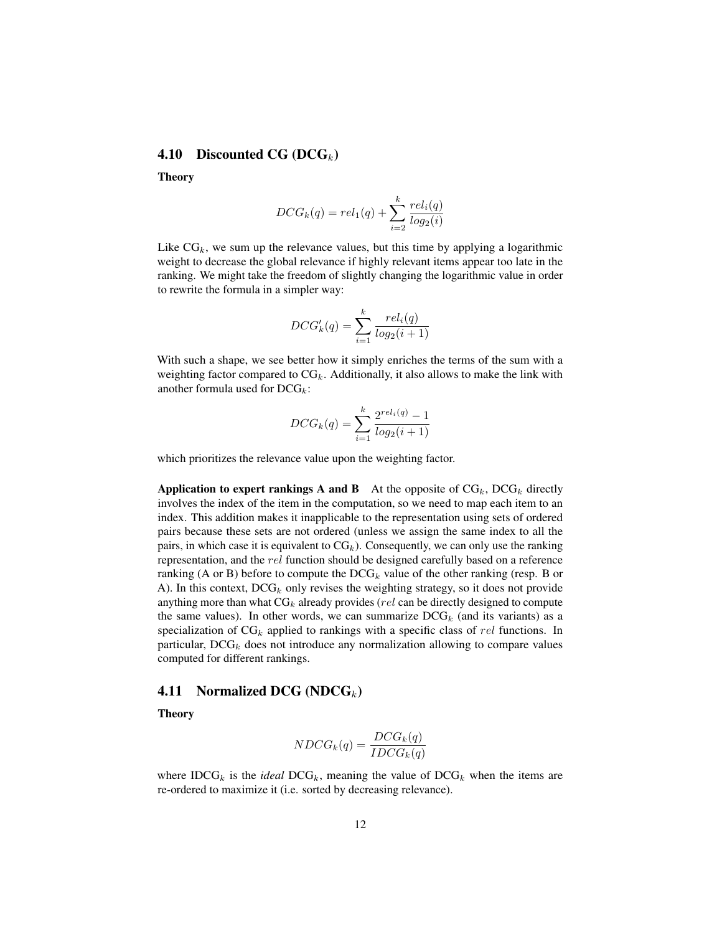## <span id="page-11-1"></span>**4.10** Discounted CG (DCG<sub>k</sub>)

Theory

$$
DCG_k(q) = rel_1(q) + \sum_{i=2}^{k} \frac{rel_i(q)}{log_2(i)}
$$

Like  $CG_k$ , we sum up the relevance values, but this time by applying a logarithmic weight to decrease the global relevance if highly relevant items appear too late in the ranking. We might take the freedom of slightly changing the logarithmic value in order to rewrite the formula in a simpler way:

$$
DCG'_{k}(q) = \sum_{i=1}^{k} \frac{rel_{i}(q)}{log_{2}(i+1)}
$$

With such a shape, we see better how it simply enriches the terms of the sum with a weighting factor compared to  $CG_k$ . Additionally, it also allows to make the link with another formula used for  $DCG_k$ :

$$
DCG_k(q) = \sum_{i=1}^{k} \frac{2^{rel_i(q)} - 1}{log_2(i+1)}
$$

which prioritizes the relevance value upon the weighting factor.

Application to expert rankings A and B At the opposite of  $CG_k$ ,  $DCG_k$  directly involves the index of the item in the computation, so we need to map each item to an index. This addition makes it inapplicable to the representation using sets of ordered pairs because these sets are not ordered (unless we assign the same index to all the pairs, in which case it is equivalent to  $CG_k$ ). Consequently, we can only use the ranking representation, and the rel function should be designed carefully based on a reference ranking (A or B) before to compute the  $DCG_k$  value of the other ranking (resp. B or A). In this context,  $DCG_k$  only revises the weighting strategy, so it does not provide anything more than what  $CG_k$  already provides (rel can be directly designed to compute the same values). In other words, we can summarize  $DCG_k$  (and its variants) as a specialization of  $CG_k$  applied to rankings with a specific class of rel functions. In particular,  $DCG_k$  does not introduce any normalization allowing to compare values computed for different rankings.

#### <span id="page-11-0"></span>**4.11** Normalized DCG (NDCG<sub>k</sub>)

**Theory** 

$$
NDCG_k(q) = \frac{DCG_k(q)}{IDCG_k(q)}
$$

where  $IDCG_k$  is the *ideal*  $DCG_k$ , meaning the value of  $DCG_k$  when the items are re-ordered to maximize it (i.e. sorted by decreasing relevance).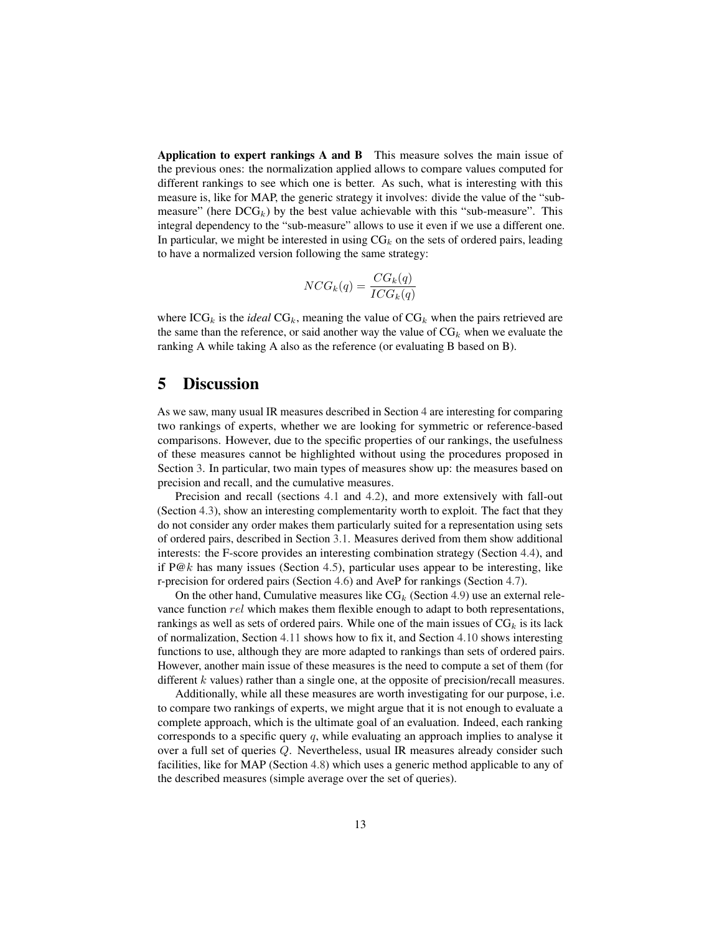Application to expert rankings A and B This measure solves the main issue of the previous ones: the normalization applied allows to compare values computed for different rankings to see which one is better. As such, what is interesting with this measure is, like for MAP, the generic strategy it involves: divide the value of the "submeasure" (here  $DCG_k$ ) by the best value achievable with this "sub-measure". This integral dependency to the "sub-measure" allows to use it even if we use a different one. In particular, we might be interested in using  $CG_k$  on the sets of ordered pairs, leading to have a normalized version following the same strategy:

$$
NCG_k(q) = \frac{CG_k(q)}{ICG_k(q)}
$$

where  $\text{ICG}_k$  is the *ideal*  $\text{CG}_k$ , meaning the value of  $\text{CG}_k$  when the pairs retrieved are the same than the reference, or said another way the value of  $CG_k$  when we evaluate the ranking A while taking A also as the reference (or evaluating B based on B).

# <span id="page-12-0"></span>5 Discussion

As we saw, many usual IR measures described in Section [4](#page-5-0) are interesting for comparing two rankings of experts, whether we are looking for symmetric or reference-based comparisons. However, due to the specific properties of our rankings, the usefulness of these measures cannot be highlighted without using the procedures proposed in Section [3.](#page-2-0) In particular, two main types of measures show up: the measures based on precision and recall, and the cumulative measures.

Precision and recall (sections [4.1](#page-6-0) and [4.2\)](#page-6-1), and more extensively with fall-out (Section [4.3\)](#page-7-0), show an interesting complementarity worth to exploit. The fact that they do not consider any order makes them particularly suited for a representation using sets of ordered pairs, described in Section [3.1.](#page-3-0) Measures derived from them show additional interests: the F-score provides an interesting combination strategy (Section [4.4\)](#page-7-1), and if  $P@k$  has many issues (Section [4.5\)](#page-8-0), particular uses appear to be interesting, like r-precision for ordered pairs (Section [4.6\)](#page-8-1) and AveP for rankings (Section [4.7\)](#page-9-0).

On the other hand, Cumulative measures like  $CG_k$  (Section [4.9\)](#page-10-0) use an external relevance function rel which makes them flexible enough to adapt to both representations, rankings as well as sets of ordered pairs. While one of the main issues of  $CG_k$  is its lack of normalization, Section [4.11](#page-11-0) shows how to fix it, and Section [4.10](#page-11-1) shows interesting functions to use, although they are more adapted to rankings than sets of ordered pairs. However, another main issue of these measures is the need to compute a set of them (for different  $k$  values) rather than a single one, at the opposite of precision/recall measures.

Additionally, while all these measures are worth investigating for our purpose, i.e. to compare two rankings of experts, we might argue that it is not enough to evaluate a complete approach, which is the ultimate goal of an evaluation. Indeed, each ranking corresponds to a specific query  $q$ , while evaluating an approach implies to analyse it over a full set of queries Q. Nevertheless, usual IR measures already consider such facilities, like for MAP (Section [4.8\)](#page-9-1) which uses a generic method applicable to any of the described measures (simple average over the set of queries).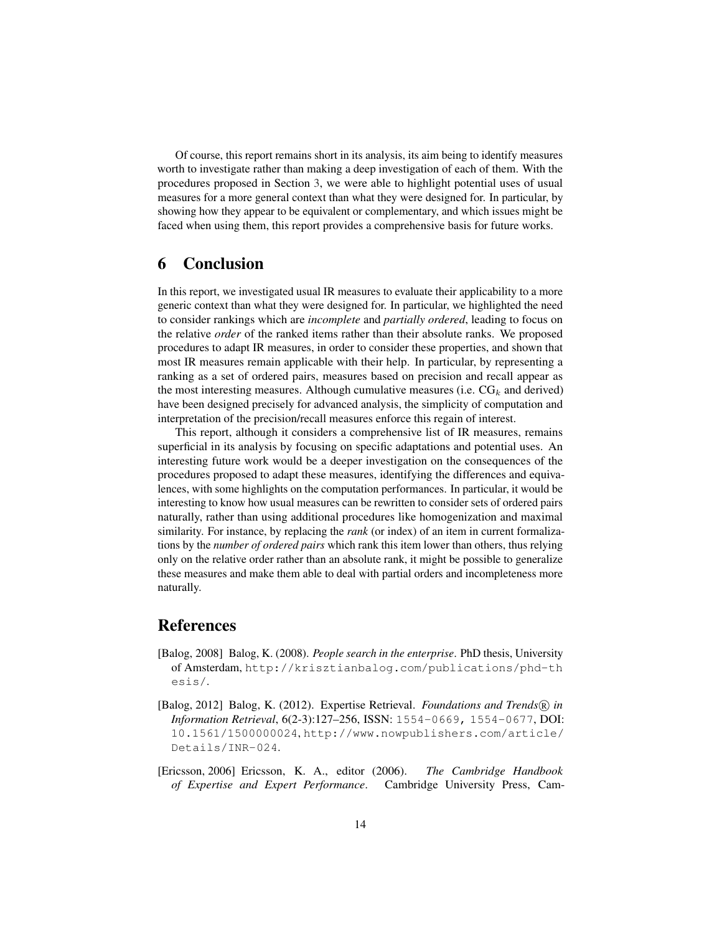Of course, this report remains short in its analysis, its aim being to identify measures worth to investigate rather than making a deep investigation of each of them. With the procedures proposed in Section [3,](#page-2-0) we were able to highlight potential uses of usual measures for a more general context than what they were designed for. In particular, by showing how they appear to be equivalent or complementary, and which issues might be faced when using them, this report provides a comprehensive basis for future works.

# 6 Conclusion

In this report, we investigated usual IR measures to evaluate their applicability to a more generic context than what they were designed for. In particular, we highlighted the need to consider rankings which are *incomplete* and *partially ordered*, leading to focus on the relative *order* of the ranked items rather than their absolute ranks. We proposed procedures to adapt IR measures, in order to consider these properties, and shown that most IR measures remain applicable with their help. In particular, by representing a ranking as a set of ordered pairs, measures based on precision and recall appear as the most interesting measures. Although cumulative measures (i.e.  $CG_k$  and derived) have been designed precisely for advanced analysis, the simplicity of computation and interpretation of the precision/recall measures enforce this regain of interest.

This report, although it considers a comprehensive list of IR measures, remains superficial in its analysis by focusing on specific adaptations and potential uses. An interesting future work would be a deeper investigation on the consequences of the procedures proposed to adapt these measures, identifying the differences and equivalences, with some highlights on the computation performances. In particular, it would be interesting to know how usual measures can be rewritten to consider sets of ordered pairs naturally, rather than using additional procedures like homogenization and maximal similarity. For instance, by replacing the *rank* (or index) of an item in current formalizations by the *number of ordered pairs* which rank this item lower than others, thus relying only on the relative order rather than an absolute rank, it might be possible to generalize these measures and make them able to deal with partial orders and incompleteness more naturally.

# References

- <span id="page-13-0"></span>[Balog, 2008] Balog, K. (2008). *People search in the enterprise*. PhD thesis, University of Amsterdam, [http://krisztianbalog.com/publications/phd-th](http://krisztianbalog.com/publications/phd-thesis/) [esis/](http://krisztianbalog.com/publications/phd-thesis/).
- <span id="page-13-2"></span>[Balog, 2012] Balog, K. (2012). Expertise Retrieval. *Foundations and Trends*® in *Information Retrieval*, 6(2-3):127–256, ISSN: 1554-0669, 1554-0677, DOI: [10.1561/1500000024](http://dx.doi.org/10.1561/1500000024), [http://www.nowpublishers.com/article/](http://www.nowpublishers.com/article/Details/INR-024) [Details/INR-024](http://www.nowpublishers.com/article/Details/INR-024).
- <span id="page-13-1"></span>[Ericsson, 2006] Ericsson, K. A., editor (2006). *The Cambridge Handbook of Expertise and Expert Performance*. Cambridge University Press, Cam-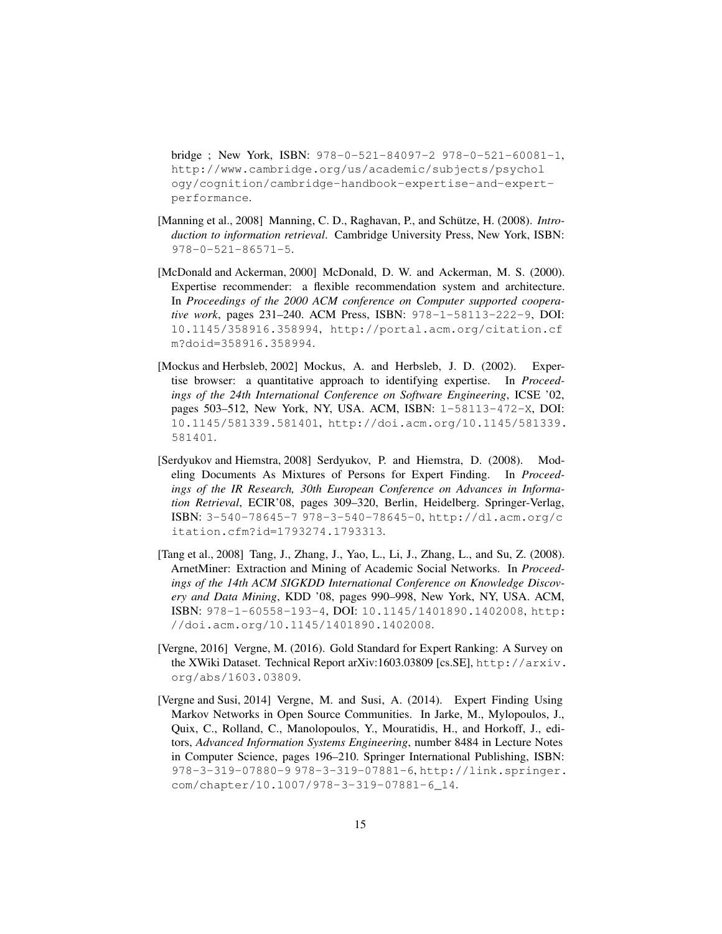bridge ; New York, ISBN: [978-0-521-84097-2](https://openlibrary.org/search?isbn=978-0-521-84097-2) [978-0-521-60081-1](https://openlibrary.org/search?isbn=978-0-521-60081-1), [http://www.cambridge.org/us/academic/subjects/psychol](http://www.cambridge.org/us/academic/subjects/psychology/cognition/cambridge-handbook-expertise-and-expert-performance) [ogy/cognition/cambridge-handbook-expertise-and-expert](http://www.cambridge.org/us/academic/subjects/psychology/cognition/cambridge-handbook-expertise-and-expert-performance)[performance](http://www.cambridge.org/us/academic/subjects/psychology/cognition/cambridge-handbook-expertise-and-expert-performance).

- <span id="page-14-6"></span>[Manning et al., 2008] Manning, C. D., Raghavan, P., and Schütze, H. (2008). *Introduction to information retrieval*. Cambridge University Press, New York, ISBN: [978-0-521-86571-5](https://openlibrary.org/search?isbn=978-0-521-86571-5).
- <span id="page-14-2"></span>[McDonald and Ackerman, 2000] McDonald, D. W. and Ackerman, M. S. (2000). Expertise recommender: a flexible recommendation system and architecture. In *Proceedings of the 2000 ACM conference on Computer supported cooperative work*, pages 231–240. ACM Press, ISBN: [978-1-58113-222-9](https://openlibrary.org/search?isbn=978-1-58113-222-9), DOI: [10.1145/358916.358994](http://dx.doi.org/10.1145/358916.358994), [http://portal.acm.org/citation.cf](http://portal.acm.org/citation.cfm?doid=358916.358994) [m?doid=358916.358994](http://portal.acm.org/citation.cfm?doid=358916.358994).
- <span id="page-14-0"></span>[Mockus and Herbsleb, 2002] Mockus, A. and Herbsleb, J. D. (2002). Expertise browser: a quantitative approach to identifying expertise. In *Proceedings of the 24th International Conference on Software Engineering*, ICSE '02, pages 503–512, New York, NY, USA. ACM, ISBN: [1-58113-472-X](https://openlibrary.org/search?isbn=1-58113-472-X), DOI: [10.1145/581339.581401](http://dx.doi.org/10.1145/581339.581401), [http://doi.acm.org/10.1145/581339.](http://doi.acm.org/10.1145/581339.581401) [581401](http://doi.acm.org/10.1145/581339.581401).
- <span id="page-14-1"></span>[Serdyukov and Hiemstra, 2008] Serdyukov, P. and Hiemstra, D. (2008). Modeling Documents As Mixtures of Persons for Expert Finding. In *Proceedings of the IR Research, 30th European Conference on Advances in Information Retrieval*, ECIR'08, pages 309–320, Berlin, Heidelberg. Springer-Verlag, ISBN: [3-540-78645-7](https://openlibrary.org/search?isbn=3-540-78645-7) [978-3-540-78645-0](https://openlibrary.org/search?isbn=978-3-540-78645-0), [http://dl.acm.org/c](http://dl.acm.org/citation.cfm?id=1793274.1793313) [itation.cfm?id=1793274.1793313](http://dl.acm.org/citation.cfm?id=1793274.1793313).
- <span id="page-14-3"></span>[Tang et al., 2008] Tang, J., Zhang, J., Yao, L., Li, J., Zhang, L., and Su, Z. (2008). ArnetMiner: Extraction and Mining of Academic Social Networks. In *Proceedings of the 14th ACM SIGKDD International Conference on Knowledge Discovery and Data Mining*, KDD '08, pages 990–998, New York, NY, USA. ACM, ISBN: [978-1-60558-193-4](https://openlibrary.org/search?isbn=978-1-60558-193-4), DOI: [10.1145/1401890.1402008](http://dx.doi.org/10.1145/1401890.1402008), [http:](http://doi.acm.org/10.1145/1401890.1402008) [//doi.acm.org/10.1145/1401890.1402008](http://doi.acm.org/10.1145/1401890.1402008).
- <span id="page-14-5"></span>[Vergne, 2016] Vergne, M. (2016). Gold Standard for Expert Ranking: A Survey on the XWiki Dataset. Technical Report arXiv:1603.03809 [cs.SE], [http://arxiv.](http://arxiv.org/abs/1603.03809) [org/abs/1603.03809](http://arxiv.org/abs/1603.03809).
- <span id="page-14-4"></span>[Vergne and Susi, 2014] Vergne, M. and Susi, A. (2014). Expert Finding Using Markov Networks in Open Source Communities. In Jarke, M., Mylopoulos, J., Quix, C., Rolland, C., Manolopoulos, Y., Mouratidis, H., and Horkoff, J., editors, *Advanced Information Systems Engineering*, number 8484 in Lecture Notes in Computer Science, pages 196–210. Springer International Publishing, ISBN: [978-3-319-07880-9](https://openlibrary.org/search?isbn=978-3-319-07880-9) [978-3-319-07881-6](https://openlibrary.org/search?isbn=978-3-319-07881-6), [http://link.springer.](http://link.springer.com/chapter/10.1007/978-3-319-07881-6_14) [com/chapter/10.1007/978-3-319-07881-6\\_14](http://link.springer.com/chapter/10.1007/978-3-319-07881-6_14).